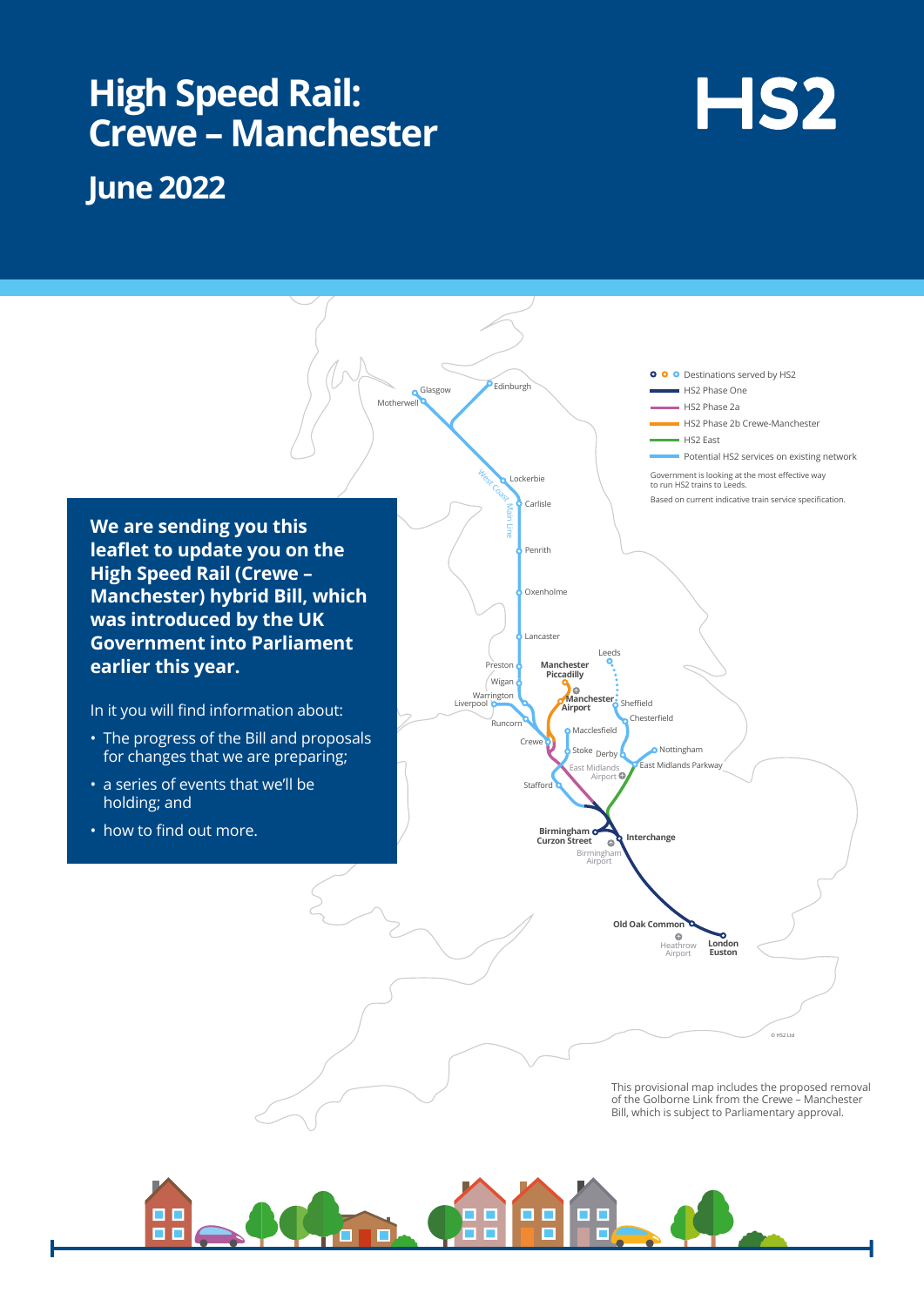## **High Speed Rail: Crewe – Manchester**

# HS<sub>2</sub>

## **June 2022**



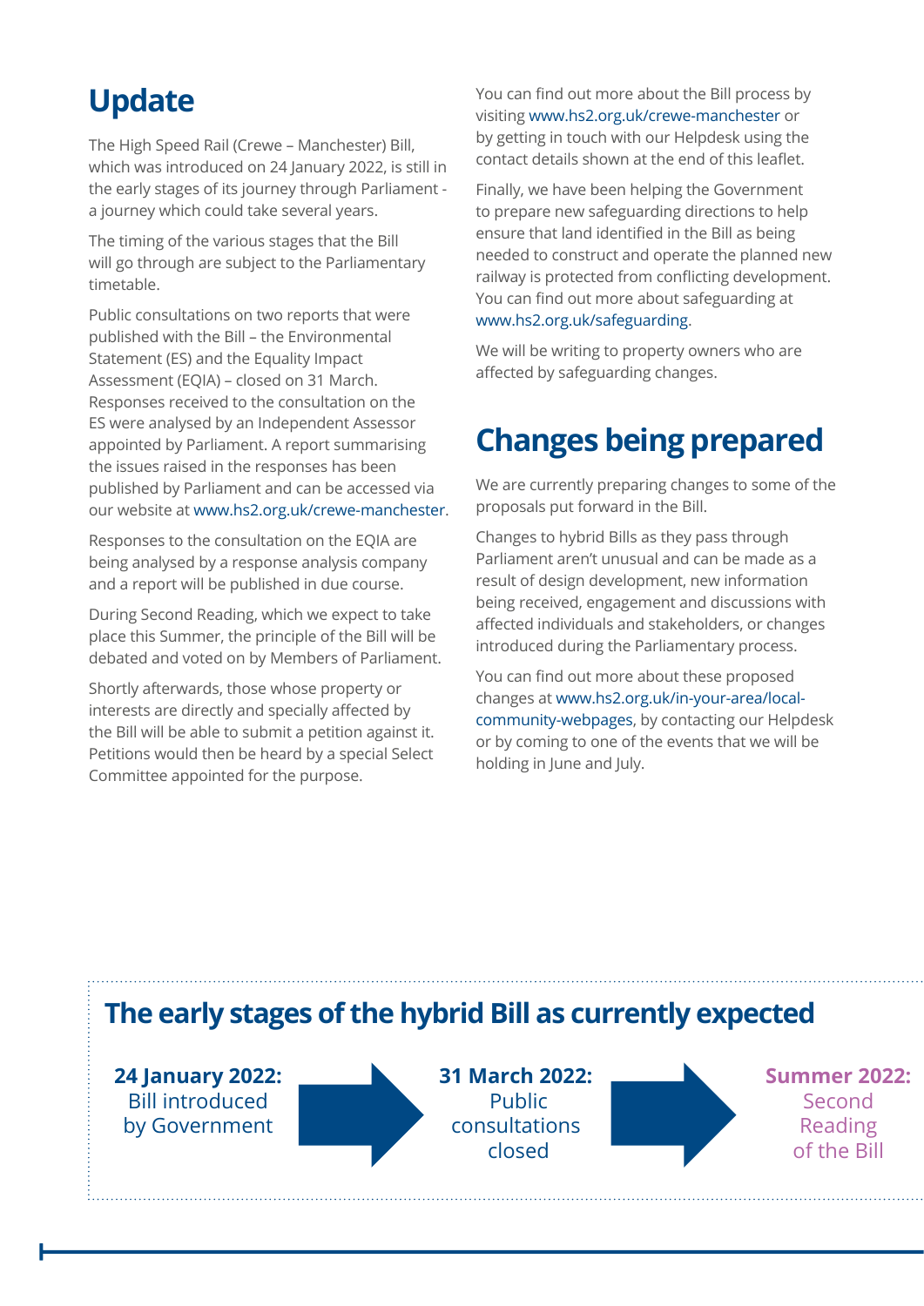## **Update**

The High Speed Rail (Crewe – Manchester) Bill, which was introduced on 24 January 2022, is still in the early stages of its journey through Parliament a journey which could take several years.

The timing of the various stages that the Bill will go through are subject to the Parliamentary timetable.

Public consultations on two reports that were published with the Bill – the Environmental Statement (ES) and the Equality Impact Assessment (EQIA) – closed on 31 March. Responses received to the consultation on the ES were analysed by an Independent Assessor appointed by Parliament. A report summarising the issues raised in the responses has been published by Parliament and can be accessed via our website at [www.hs2.org.uk/crewe-manchester.](http://www.hs2.org.uk/crewe-manchester)

Responses to the consultation on the EQIA are being analysed by a response analysis company and a report will be published in due course.

During Second Reading, which we expect to take place this Summer, the principle of the Bill will be debated and voted on by Members of Parliament.

Shortly afterwards, those whose property or interests are directly and specially affected by the Bill will be able to submit a petition against it. Petitions would then be heard by a special Select Committee appointed for the purpose.

You can find out more about the Bill process by visiting www.hs2.org.uk/crewe-manchester or by getting in touch with our Helpdesk using the contact details shown at the end of this leaflet.

Finally, we have been helping the Government to prepare new safeguarding directions to help ensure that land identified in the Bill as being needed to construct and operate the planned new railway is protected from conflicting development. You can find out more about safeguarding at www.hs2.org.uk/safeguarding.

We will be writing to property owners who are affected by safeguarding changes.

## **Changes being prepared**

We are currently preparing changes to some of the proposals put forward in the Bill.

Changes to hybrid Bills as they pass through Parliament aren't unusual and can be made as a result of design development, new information being received, engagement and discussions with affected individuals and stakeholders, or changes introduced during the Parliamentary process.

You can find out more about these proposed changes at www.hs2.org.uk/in-your-area/localcommunity-webpages, by contacting our Helpdesk or by coming to one of the events that we will be holding in June and July.

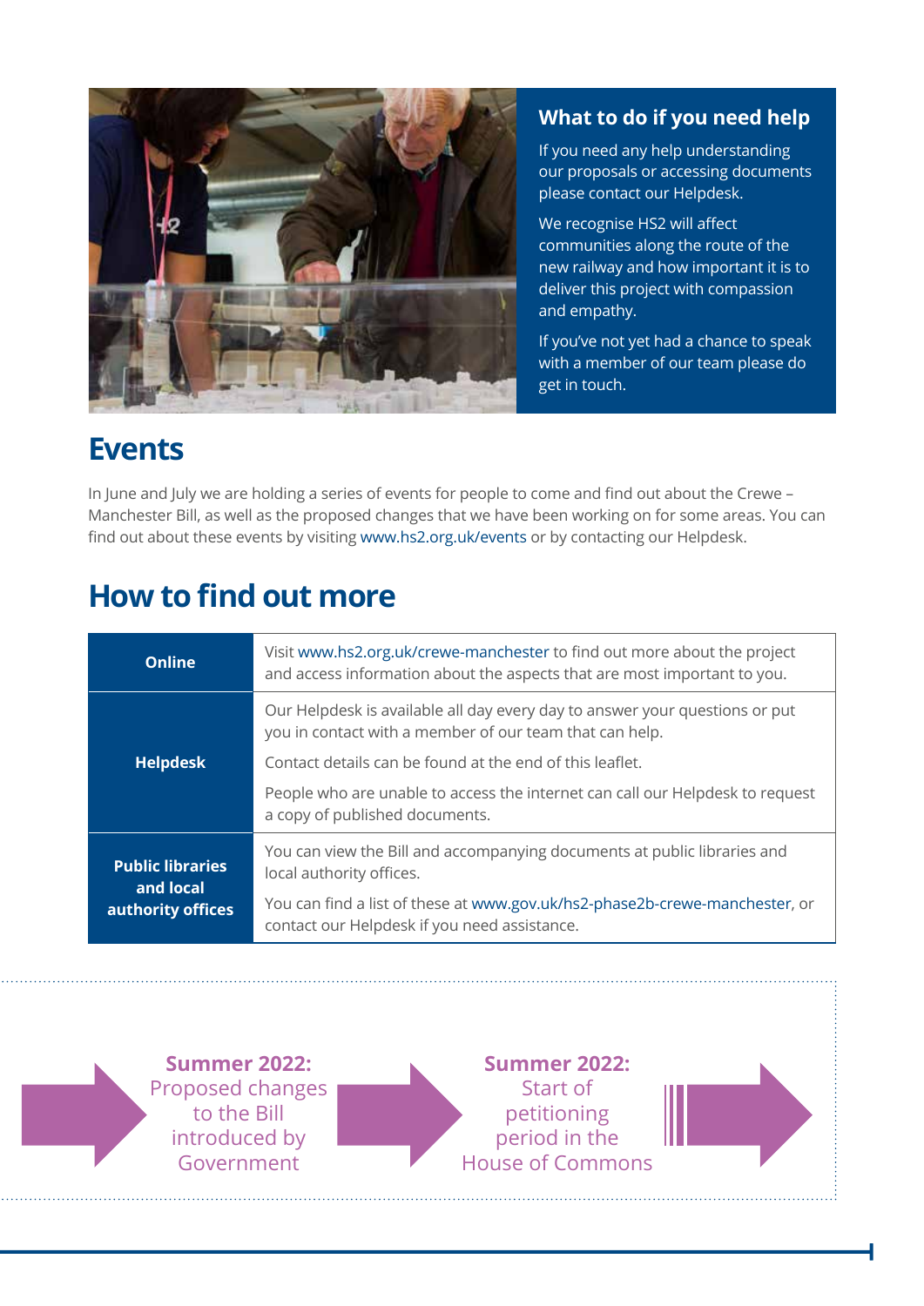

### **What to do if you need help**

If you need any help understanding our proposals or accessing documents please contact our Helpdesk.

We recognise HS2 will affect communities along the route of the new railway and how important it is to deliver this project with compassion and empathy.

If you've not yet had a chance to speak with a member of our team please do get in touch.

## **Events**

In June and July we are holding a series of events for people to come and find out about the Crewe – Manchester Bill, as well as the proposed changes that we have been working on for some areas. You can find out about these events by visiting www.hs2.org.uk/events or by contacting our Helpdesk.

## **How to find out more**

| Online                               | Visit www.hs2.org.uk/crewe-manchester to find out more about the project<br>and access information about the aspects that are most important to you. |  |  |  |
|--------------------------------------|------------------------------------------------------------------------------------------------------------------------------------------------------|--|--|--|
| <b>Helpdesk</b>                      | Our Helpdesk is available all day every day to answer your questions or put<br>you in contact with a member of our team that can help.               |  |  |  |
|                                      | Contact details can be found at the end of this leaflet.                                                                                             |  |  |  |
|                                      | People who are unable to access the internet can call our Helpdesk to request<br>a copy of published documents.                                      |  |  |  |
| <b>Public libraries</b><br>and local | You can view the Bill and accompanying documents at public libraries and<br>local authority offices.                                                 |  |  |  |
| authority offices                    | You can find a list of these at www.gov.uk/hs2-phase2b-crewe-manchester, or<br>contact our Helpdesk if you need assistance.                          |  |  |  |

**Summer 2022:** Proposed changes to the Bill introduced by Government

**Summer 2022:** Start of petitioning period in the House of Commons